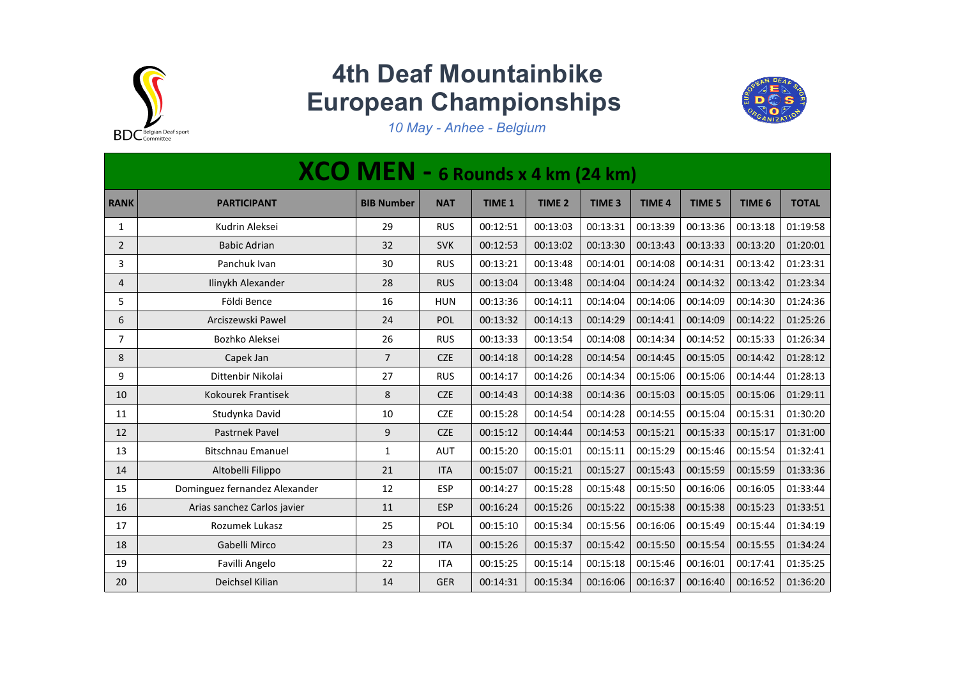

## **4th Deaf Mountainbike European Championships**



*10 May - Anhee - Belgium*

|                |                               | XCO MEN - 6 Rounds x 4 km (24 km) |            |               |                   |                   |               |               |                   |              |
|----------------|-------------------------------|-----------------------------------|------------|---------------|-------------------|-------------------|---------------|---------------|-------------------|--------------|
| <b>RANK</b>    | <b>PARTICIPANT</b>            | <b>BIB Number</b>                 | <b>NAT</b> | <b>TIME 1</b> | TIME <sub>2</sub> | TIME <sub>3</sub> | <b>TIME 4</b> | <b>TIME 5</b> | TIME <sub>6</sub> | <b>TOTAL</b> |
| $\mathbf{1}$   | Kudrin Aleksei                | 29                                | <b>RUS</b> | 00:12:51      | 00:13:03          | 00:13:31          | 00:13:39      | 00:13:36      | 00:13:18          | 01:19:58     |
| $\overline{2}$ | <b>Babic Adrian</b>           | 32                                | <b>SVK</b> | 00:12:53      | 00:13:02          | 00:13:30          | 00:13:43      | 00:13:33      | 00:13:20          | 01:20:01     |
| 3              | Panchuk Ivan                  | 30                                | <b>RUS</b> | 00:13:21      | 00:13:48          | 00:14:01          | 00:14:08      | 00:14:31      | 00:13:42          | 01:23:31     |
| 4              | Ilinykh Alexander             | 28                                | <b>RUS</b> | 00:13:04      | 00:13:48          | 00:14:04          | 00:14:24      | 00:14:32      | 00:13:42          | 01:23:34     |
| 5              | Földi Bence                   | 16                                | <b>HUN</b> | 00:13:36      | 00:14:11          | 00:14:04          | 00:14:06      | 00:14:09      | 00:14:30          | 01:24:36     |
| 6              | Arciszewski Pawel             | 24                                | POL        | 00:13:32      | 00:14:13          | 00:14:29          | 00:14:41      | 00:14:09      | 00:14:22          | 01:25:26     |
| $\overline{7}$ | Bozhko Aleksei                | 26                                | <b>RUS</b> | 00:13:33      | 00:13:54          | 00:14:08          | 00:14:34      | 00:14:52      | 00:15:33          | 01:26:34     |
| 8              | Capek Jan                     | $\overline{7}$                    | <b>CZE</b> | 00:14:18      | 00:14:28          | 00:14:54          | 00:14:45      | 00:15:05      | 00:14:42          | 01:28:12     |
| 9              | Dittenbir Nikolai             | 27                                | <b>RUS</b> | 00:14:17      | 00:14:26          | 00:14:34          | 00:15:06      | 00:15:06      | 00:14:44          | 01:28:13     |
| 10             | Kokourek Frantisek            | 8                                 | <b>CZE</b> | 00:14:43      | 00:14:38          | 00:14:36          | 00:15:03      | 00:15:05      | 00:15:06          | 01:29:11     |
| 11             | Studynka David                | 10                                | <b>CZE</b> | 00:15:28      | 00:14:54          | 00:14:28          | 00:14:55      | 00:15:04      | 00:15:31          | 01:30:20     |
| 12             | Pastrnek Pavel                | $\boldsymbol{9}$                  | <b>CZE</b> | 00:15:12      | 00:14:44          | 00:14:53          | 00:15:21      | 00:15:33      | 00:15:17          | 01:31:00     |
| 13             | <b>Bitschnau Emanuel</b>      | 1                                 | <b>AUT</b> | 00:15:20      | 00:15:01          | 00:15:11          | 00:15:29      | 00:15:46      | 00:15:54          | 01:32:41     |
| 14             | Altobelli Filippo             | 21                                | <b>ITA</b> | 00:15:07      | 00:15:21          | 00:15:27          | 00:15:43      | 00:15:59      | 00:15:59          | 01:33:36     |
| 15             | Dominguez fernandez Alexander | 12                                | <b>ESP</b> | 00:14:27      | 00:15:28          | 00:15:48          | 00:15:50      | 00:16:06      | 00:16:05          | 01:33:44     |
| 16             | Arias sanchez Carlos javier   | 11                                | ESP        | 00:16:24      | 00:15:26          | 00:15:22          | 00:15:38      | 00:15:38      | 00:15:23          | 01:33:51     |
| 17             | Rozumek Lukasz                | 25                                | POL        | 00:15:10      | 00:15:34          | 00:15:56          | 00:16:06      | 00:15:49      | 00:15:44          | 01:34:19     |
| 18             | Gabelli Mirco                 | 23                                | <b>ITA</b> | 00:15:26      | 00:15:37          | 00:15:42          | 00:15:50      | 00:15:54      | 00:15:55          | 01:34:24     |
| 19             | Favilli Angelo                | 22                                | <b>ITA</b> | 00:15:25      | 00:15:14          | 00:15:18          | 00:15:46      | 00:16:01      | 00:17:41          | 01:35:25     |
| 20             | Deichsel Kilian               | 14                                | <b>GER</b> | 00:14:31      | 00:15:34          | 00:16:06          | 00:16:37      | 00:16:40      | 00:16:52          | 01:36:20     |